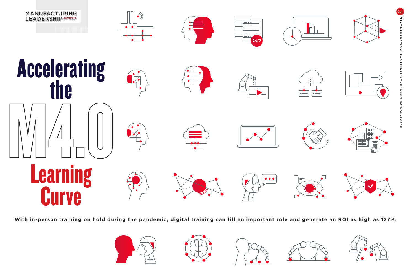

With in-person training on hold during the pandemic, digital training can fill an important role and generate an ROI as high as 127%.

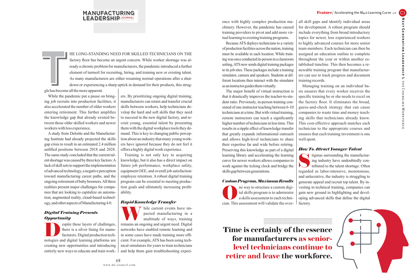# MANUFACTURING LEADERSHIP JOURNAL

HE LONG-STANDING NEED FOR SKILLED TECHNICIANS ON THE factory floor has become an urgent concern. While worker shortage was already a chronic problem for manufacturers, the pandemic introduced a further element of turmoil for recruiting, hiring, and training new or existing talent. As many manufacturers are either resuming normal operations after a shutdown or experiencing a sharp uptick in demand for their products, this strug-

gle has become all the more apparent. T

While the pandemic put a pause on bringing job recruits into production facilities, it also accelerated the number of older workers entering retirement. This further amplifies the knowledge gap that already existed between those older skilled workers and newer workers with less experience.

A study from Deloitte and the Manufacturing Institute had already projected the skills gap crisis to result in an estimated 2.4 million unfilled positions between 2018 and 2028. The same study concluded that the current talent shortage was caused by three key factors: A lack of skill sets to support the implementation of advanced technology, a negative perception toward manufacturing career paths, and the ongoing retirement of baby boomers. All three realities present major challenges for companies that are looking to capitalize on automation, augmented reality, cloud-based technology, and other aspects of Manufacturing 4.0.

## *Digital Training Presents Opportunity*

espite these layers of challenges,<br>there is a silver lining for manu-<br>facturers. Digital production tech-<br>pologies and digital learning platforms are there is a silver lining for manufacturers. Digital production technologies and digital learning platforms are creating new opportunities and introducing entirely new ways to educate and train work-

ers. By prioritizing ongoing digital training, manufacturers can retain and transfer crucial skills between workers, help technicians develop the hard and soft skills that they need to succeed in the new digital factory, and recruit young, essential talent by presenting them with the digital workplace tools they demand. This is key to changing public perception about an industry that many young workers have ignored because they do not feel it offers a highly digital work experience.

Training is not only key to acquiring knowledge, but it also has a direct impact on future job performance, workplace safety, equipment OEE, and overall job satisfaction/ employee retention. A robust digital training program can be essential to meeting production goals and ultimately increasing profitability.

## *Rapid Knowledge Transfer*

with the current events have im-<br>pacted manufacturing in a<br>multitude of ways, training<br>remains an ongoing and urgent need Digital pacted manufacturing in a multitude of ways, training remains an ongoing and urgent need. Digital networks have enabled remote learning and in some cases have made training more efficient. For example, ATS has been using technical simulators for years to train technicians and help them gain troubleshooting experience with highly complex production machinery. However, the pandemic has caused training providers to pivot and add more virtual learning to existing training programs.

Because ATS deploys technicians to a variety of production facilities across the nation, training must be available in each location. While training was once conducted in-person in a classroom setting, ATS now sends digital training packages to its job sites. These packages include a training simulator, camera and speakers. Students at different locations then interact with the simulator as an instructor guides them virtually.

The major benefit of virtual instruction is that it drastically improves the teacher-to-student ratio. Previously, in-person training consisted of one instructor teaching between 6-10 technicians at a time. But with virtual training, remote instructors can teach a significantly higher number of technicians in less time. This results in a ripple effect of knowledge transfer that greatly expands informational outreach and allows high-level technicians to share their expertise far and wide before retiring. Preserving this knowledge as part of a digital learning library and accelerating the learning curve for newer workers allows companies to work against the ticking clock and bridge the skills gap between generations.

### *Custom Program, Maximum Results*

**O**ne way to structure a custom digital skills program is to administer<br>a skills assessment to each techni-<br>cian. This assessment will validate the overtal skills program is to administer a skills assessment to each technician. This assessment will validate the over-

**Time is certainly of the essence for manufacturers as seniorlevel technicians continue to retire and leave the workforce.**

.......................................................... .......................................................... .......................................................... .......................................................... .......................................................... .......................................................... .......................................................... ..........................................................

all skill gaps and identify individual areas for development. A robust program should include everything from broad introductory topics for newer, less experienced workers to highly advanced courses for more senior team members. Each technician can then be assigned an education outline to complete throughout the year or within another established timeline. This then becomes a renewable training program that manufacturers can use to track progress and document training records.

Managing training on an individual basis ensures that every worker receives the specific training he or she needs to excel on the factory floor. It eliminates the broad, guess-and-check strategy that can cause companies to waste time and money teaching skills that technicians already know. This cost-effective approach matches each technician to the appropriate courses and ensures that each training investment is one well spent.

## *How To Attract Younger Talent*

tigmas surrounding the manufacturing industry have undoubtedly con-<br>tributed to the talent shortage. Often<br>regarded as labor-intensive monotonous ing industry have undoubtedly contributed to the talent shortage. Often regarded as labor-intensive, monotonous, and unlucrative, the industry is struggling to generate appeal and recruit top talent. By investing in technical training, companies can gain new ground in highlighting and developing advanced skills that define the digital factory.